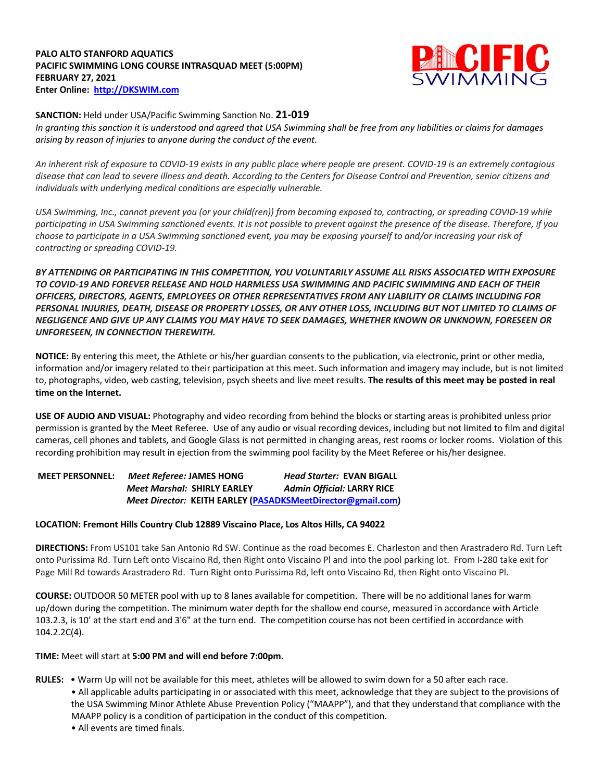# **PALO ALTO STANFORD AQUATICS PACIFIC SWIMMING LONG COURSE INTRASQUAD MEET (5:00PM) FEBRUARY 27, 2021 Enter Online: http://DKSWIM.com**



### **SANCTION:** Held under USA/Pacific Swimming Sanction No. **21-019**

*In granting this sanction it is understood and agreed that USA Swimming shall be free from any liabilities or claims for damages arising by reason of injuries to anyone during the conduct of the event.* 

*An inherent risk of exposure to COVID-19 exists in any public place where people are present. COVID-19 is an extremely contagious disease that can lead to severe illness and death. According to the Centers for Disease Control and Prevention, senior citizens and individuals with underlying medical conditions are especially vulnerable.*

*USA Swimming, Inc., cannot prevent you (or your child(ren)) from becoming exposed to, contracting, or spreading COVID-19 while participating in USA Swimming sanctioned events. It is not possible to prevent against the presence of the disease. Therefore, if you choose to participate in a USA Swimming sanctioned event, you may be exposing yourself to and/or increasing your risk of contracting or spreading COVID-19.*

*BY ATTENDING OR PARTICIPATING IN THIS COMPETITION, YOU VOLUNTARILY ASSUME ALL RISKS ASSOCIATED WITH EXPOSURE TO COVID-19 AND FOREVER RELEASE AND HOLD HARMLESS USA SWIMMING AND PACIFIC SWIMMING AND EACH OF THEIR OFFICERS, DIRECTORS, AGENTS, EMPLOYEES OR OTHER REPRESENTATIVES FROM ANY LIABILITY OR CLAIMS INCLUDING FOR PERSONAL INJURIES, DEATH, DISEASE OR PROPERTY LOSSES, OR ANY OTHER LOSS, INCLUDING BUT NOT LIMITED TO CLAIMS OF NEGLIGENCE AND GIVE UP ANY CLAIMS YOU MAY HAVE TO SEEK DAMAGES, WHETHER KNOWN OR UNKNOWN, FORESEEN OR UNFORESEEN, IN CONNECTION THEREWITH.*

**NOTICE:** By entering this meet, the Athlete or his/her guardian consents to the publication, via electronic, print or other media, information and/or imagery related to their participation at this meet. Such information and imagery may include, but is not limited to, photographs, video, web casting, television, psych sheets and live meet results. **The results of this meet may be posted in real time on the Internet.** 

**USE OF AUDIO AND VISUAL:** Photography and video recording from behind the blocks or starting areas is prohibited unless prior permission is granted by the Meet Referee. Use of any audio or visual recording devices, including but not limited to film and digital cameras, cell phones and tablets, and Google Glass is not permitted in changing areas, rest rooms or locker rooms. Violation of this recording prohibition may result in ejection from the swimming pool facility by the Meet Referee or his/her designee.

**MEET PERSONNEL:** *Meet Referee:* **JAMES HONG** *Head Starter:* **EVAN BIGALL** *Meet Marshal:* **SHIRLY EARLEY** *Admin Official:* **LARRY RICE** *Meet Director:* **KEITH EARLEY (PASADKSMeetDirector@gmail.com)**

### **LOCATION: Fremont Hills Country Club 12889 Viscaino Place, Los Altos Hills, CA 94022**

**DIRECTIONS:** From US101 take San Antonio Rd SW. Continue as the road becomes E. Charleston and then Arastradero Rd. Turn Left onto Purissima Rd. Turn Left onto Viscaino Rd, then Right onto Viscaino Pl and into the pool parking lot. From I-280 take exit for Page Mill Rd towards Arastradero Rd. Turn Right onto Purissima Rd, left onto Viscaino Rd, then Right onto Viscaino Pl.

**COURSE:** OUTDOOR 50 METER pool with up to 8 lanes available for competition. There will be no additional lanes for warm up/down during the competition. The minimum water depth for the shallow end course, measured in accordance with Article 103.2.3, is 10' at the start end and 3'6" at the turn end. The competition course has not been certified in accordance with 104.2.2C(4).

## **TIME:** Meet will start at **5:00 PM and will end before 7:00pm.**

- **RULES:**  Warm Up will not be available for this meet, athletes will be allowed to swim down for a 50 after each race.
	- All applicable adults participating in or associated with this meet, acknowledge that they are subject to the provisions of the USA Swimming Minor Athlete Abuse Prevention Policy ("MAAPP"), and that they understand that compliance with the MAAPP policy is a condition of participation in the conduct of this competition.
		- All events are timed finals.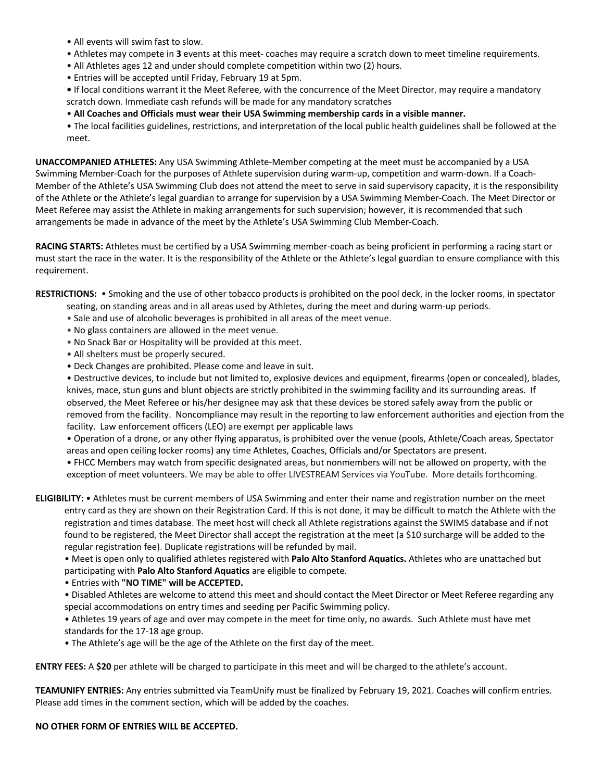- All events will swim fast to slow.
- Athletes may compete in **3** events at this meet- coaches may require a scratch down to meet timeline requirements.
- All Athletes ages 12 and under should complete competition within two (2) hours.
- Entries will be accepted until Friday, February 19 at 5pm.
- If local conditions warrant it the Meet Referee, with the concurrence of the Meet Director, may require a mandatory scratch down. Immediate cash refunds will be made for any mandatory scratches
- **All Coaches and Officials must wear their USA Swimming membership cards in a visible manner.**

 • The local facilities guidelines, restrictions, and interpretation of the local public health guidelines shall be followed at the meet.

**UNACCOMPANIED ATHLETES:** Any USA Swimming Athlete-Member competing at the meet must be accompanied by a USA Swimming Member-Coach for the purposes of Athlete supervision during warm-up, competition and warm-down. If a Coach-Member of the Athlete's USA Swimming Club does not attend the meet to serve in said supervisory capacity, it is the responsibility of the Athlete or the Athlete's legal guardian to arrange for supervision by a USA Swimming Member-Coach. The Meet Director or Meet Referee may assist the Athlete in making arrangements for such supervision; however, it is recommended that such arrangements be made in advance of the meet by the Athlete's USA Swimming Club Member-Coach.

**RACING STARTS:** Athletes must be certified by a USA Swimming member-coach as being proficient in performing a racing start or must start the race in the water. It is the responsibility of the Athlete or the Athlete's legal guardian to ensure compliance with this requirement.

**RESTRICTIONS:** • Smoking and the use of other tobacco products is prohibited on the pool deck, in the locker rooms, in spectator

- seating, on standing areas and in all areas used by Athletes, during the meet and during warm-up periods.
- Sale and use of alcoholic beverages is prohibited in all areas of the meet venue.
- No glass containers are allowed in the meet venue.
- No Snack Bar or Hospitality will be provided at this meet.
- All shelters must be properly secured.
- Deck Changes are prohibited. Please come and leave in suit.

 • Destructive devices, to include but not limited to, explosive devices and equipment, firearms (open or concealed), blades, knives, mace, stun guns and blunt objects are strictly prohibited in the swimming facility and its surrounding areas. If observed, the Meet Referee or his/her designee may ask that these devices be stored safely away from the public or removed from the facility. Noncompliance may result in the reporting to law enforcement authorities and ejection from the facility. Law enforcement officers (LEO) are exempt per applicable laws

 • Operation of a drone, or any other flying apparatus, is prohibited over the venue (pools, Athlete/Coach areas, Spectator areas and open ceiling locker rooms) any time Athletes, Coaches, Officials and/or Spectators are present.

 • FHCC Members may watch from specific designated areas, but nonmembers will not be allowed on property, with the exception of meet volunteers. We may be able to offer LIVESTREAM Services via YouTube. More details forthcoming.

**ELIGIBILITY:** • Athletes must be current members of USA Swimming and enter their name and registration number on the meet entry card as they are shown on their Registration Card. If this is not done, it may be difficult to match the Athlete with the registration and times database. The meet host will check all Athlete registrations against the SWIMS database and if not found to be registered, the Meet Director shall accept the registration at the meet (a \$10 surcharge will be added to the regular registration fee). Duplicate registrations will be refunded by mail.

 • Meet is open only to qualified athletes registered with **Palo Alto Stanford Aquatics.** Athletes who are unattached but participating with **Palo Alto Stanford Aquatics** are eligible to compete.

- Entries with **"NO TIME" will be ACCEPTED.**
- Disabled Athletes are welcome to attend this meet and should contact the Meet Director or Meet Referee regarding any special accommodations on entry times and seeding per Pacific Swimming policy.

 • Athletes 19 years of age and over may compete in the meet for time only, no awards. Such Athlete must have met standards for the 17-18 age group.

• The Athlete's age will be the age of the Athlete on the first day of the meet.

**ENTRY FEES:** A **\$20** per athlete will be charged to participate in this meet and will be charged to the athlete's account.

**TEAMUNIFY ENTRIES:** Any entries submitted via TeamUnify must be finalized by February 19, 2021. Coaches will confirm entries. Please add times in the comment section, which will be added by the coaches.

**NO OTHER FORM OF ENTRIES WILL BE ACCEPTED.**